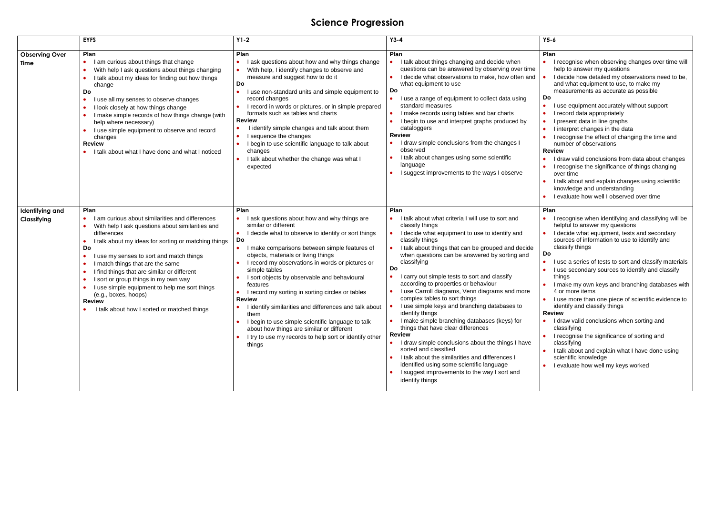# **Science Progression**

|                                | <b>EYFS</b>                                                                                                                                                                                                                                                                                                                                                                                                                                                                                                                                   | $Y1-2$                                                                                                                                                                                                                                                                                                                                                                                                                                                                                                                                                                                                                                                                                       | $Y3-4$                                                                                                                                                                                                                                                                                                                                                                                                                                                                                                                                                                                                                                                                                                                                                                                                                                                                             | $Y5-6$                                                                                                                                                                                                                                                                                                                                                                                                                                                                                                                                                                                                                                                                                                                                                                                                                             |
|--------------------------------|-----------------------------------------------------------------------------------------------------------------------------------------------------------------------------------------------------------------------------------------------------------------------------------------------------------------------------------------------------------------------------------------------------------------------------------------------------------------------------------------------------------------------------------------------|----------------------------------------------------------------------------------------------------------------------------------------------------------------------------------------------------------------------------------------------------------------------------------------------------------------------------------------------------------------------------------------------------------------------------------------------------------------------------------------------------------------------------------------------------------------------------------------------------------------------------------------------------------------------------------------------|------------------------------------------------------------------------------------------------------------------------------------------------------------------------------------------------------------------------------------------------------------------------------------------------------------------------------------------------------------------------------------------------------------------------------------------------------------------------------------------------------------------------------------------------------------------------------------------------------------------------------------------------------------------------------------------------------------------------------------------------------------------------------------------------------------------------------------------------------------------------------------|------------------------------------------------------------------------------------------------------------------------------------------------------------------------------------------------------------------------------------------------------------------------------------------------------------------------------------------------------------------------------------------------------------------------------------------------------------------------------------------------------------------------------------------------------------------------------------------------------------------------------------------------------------------------------------------------------------------------------------------------------------------------------------------------------------------------------------|
| <b>Observing Over</b><br>Time  | Plan<br>I am curious about things that change<br>$\bullet$<br>With help I ask questions about things changing<br>I talk about my ideas for finding out how things<br>change<br>Do<br>use all my senses to observe changes<br>$\bullet$<br>I look closely at how things change<br>$\bullet$<br>I make simple records of how things change (with<br>help where necessary)<br>I use simple equipment to observe and record<br>$\bullet$<br>changes<br><b>Review</b><br>I talk about what I have done and what I noticed                          | Plan<br>I ask questions about how and why things change<br>$\bullet$<br>With help, I identify changes to observe and<br>measure and suggest how to do it<br>Do<br>I use non-standard units and simple equipment to<br>record changes<br>I record in words or pictures, or in simple prepared<br>formats such as tables and charts<br><b>Review</b><br>I identify simple changes and talk about them<br>I sequence the changes<br>I begin to use scientific language to talk about<br>changes<br>I talk about whether the change was what I<br>expected                                                                                                                                       | Plan<br>I talk about things changing and decide when<br>questions can be answered by observing over time<br>I decide what observations to make, how often and<br>what equipment to use<br>Do<br>I use a range of equipment to collect data using<br>standard measures<br>I make records using tables and bar charts<br>I begin to use and interpret graphs produced by<br>dataloggers<br><b>Review</b><br>I draw simple conclusions from the changes I<br>observed<br>I talk about changes using some scientific<br>language<br>I suggest improvements to the ways I observe                                                                                                                                                                                                                                                                                                       | Plan<br>I recognise when observing changes over time will<br>$\bullet$<br>help to answer my questions<br>I decide how detailed my observations need to be,<br>and what equipment to use, to make my<br>measurements as accurate as possible<br>Do<br>I use equipment accurately without support<br>$\bullet$<br>I record data appropriately<br>$\bullet$<br>I present data in line graphs<br>$\bullet$<br>I interpret changes in the data<br>$\bullet$<br>I recognise the effect of changing the time and<br>number of observations<br><b>Review</b><br>I draw valid conclusions from data about changes<br>$\bullet$<br>I recognise the significance of things changing<br>$\bullet$<br>over time<br>I talk about and explain changes using scientific<br>knowledge and understanding<br>I evaluate how well I observed over time |
| Identifying and<br>Classifying | Plan<br>I am curious about similarities and differences<br>With help I ask questions about similarities and<br>differences<br>I talk about my ideas for sorting or matching things<br>$\bullet$<br>Do<br>use my senses to sort and match things<br>$\bullet$<br>I match things that are the same<br>$\bullet$<br>I find things that are similar or different<br>I sort or group things in my own way<br>I use simple equipment to help me sort things<br>(e.g., boxes, hoops)<br><b>Review</b><br>I talk about how I sorted or matched things | Plan<br>I ask questions about how and why things are<br>similar or different<br>I decide what to observe to identify or sort things<br>Do<br>I make comparisons between simple features of<br>$\bullet$<br>objects, materials or living things<br>I record my observations in words or pictures or<br>simple tables<br>I sort objects by observable and behavioural<br>features<br>I record my sorting in sorting circles or tables<br><b>Review</b><br>I identify similarities and differences and talk about<br>them<br>I begin to use simple scientific language to talk<br>about how things are similar or different<br>I try to use my records to help sort or identify other<br>things | Plan<br>I talk about what criteria I will use to sort and<br>classify things<br>I decide what equipment to use to identify and<br>classify things<br>I talk about things that can be grouped and decide<br>when questions can be answered by sorting and<br>classifying<br>Do<br>carry out simple tests to sort and classify<br>according to properties or behaviour<br>I use Carroll diagrams, Venn diagrams and more<br>complex tables to sort things<br>I use simple keys and branching databases to<br>identify things<br>I make simple branching databases (keys) for<br>things that have clear differences<br><b>Review</b><br>I draw simple conclusions about the things I have<br>sorted and classified<br>I talk about the similarities and differences I<br>identified using some scientific language<br>I suggest improvements to the way I sort and<br>identify things | Plan<br>I recognise when identifying and classifying will be<br>$\bullet$<br>helpful to answer my questions<br>I decide what equipment, tests and secondary<br>sources of information to use to identify and<br>classify things<br>Do<br>I use a series of tests to sort and classify materials<br>$\bullet$<br>I use secondary sources to identify and classify<br>$\bullet$<br>things<br>I make my own keys and branching databases with<br>4 or more items<br>I use more than one piece of scientific evidence to<br>identify and classify things<br><b>Review</b><br>I draw valid conclusions when sorting and<br>classifying<br>I recognise the significance of sorting and<br>classifying<br>I talk about and explain what I have done using<br>scientific knowledge<br>I evaluate how well my keys worked                   |

- 
- 
- 
- 

- 
- 
- 
-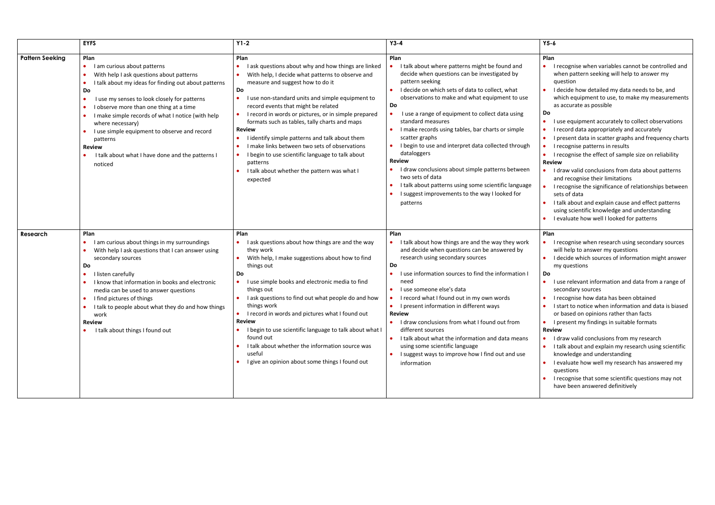|                        | <b>EYFS</b>                                                                                                                                                                                                                                                                                                                                                                                                                                                                             | $Y1-2$                                                                                                                                                                                                                                                                                                                                                                                                                                                                                                                                                                                                                                                           | $Y3-4$                                                                                                                                                                                                                                                                                                                                                                                                                                                                                                                                                                                                                                                                    | $Y5-6$                                                                                                                                                                                                                                                                                                                                                                                                                                                                                                                                                                                                                                                                                                                                                                                                                                                                                 |
|------------------------|-----------------------------------------------------------------------------------------------------------------------------------------------------------------------------------------------------------------------------------------------------------------------------------------------------------------------------------------------------------------------------------------------------------------------------------------------------------------------------------------|------------------------------------------------------------------------------------------------------------------------------------------------------------------------------------------------------------------------------------------------------------------------------------------------------------------------------------------------------------------------------------------------------------------------------------------------------------------------------------------------------------------------------------------------------------------------------------------------------------------------------------------------------------------|---------------------------------------------------------------------------------------------------------------------------------------------------------------------------------------------------------------------------------------------------------------------------------------------------------------------------------------------------------------------------------------------------------------------------------------------------------------------------------------------------------------------------------------------------------------------------------------------------------------------------------------------------------------------------|----------------------------------------------------------------------------------------------------------------------------------------------------------------------------------------------------------------------------------------------------------------------------------------------------------------------------------------------------------------------------------------------------------------------------------------------------------------------------------------------------------------------------------------------------------------------------------------------------------------------------------------------------------------------------------------------------------------------------------------------------------------------------------------------------------------------------------------------------------------------------------------|
| <b>Pattern Seeking</b> | Plan<br>I am curious about patterns<br>$\bullet$<br>With help I ask questions about patterns<br>I talk about my ideas for finding out about patterns<br>Do<br>I use my senses to look closely for patterns<br>I observe more than one thing at a time<br>$\bullet$<br>I make simple records of what I notice (with help<br>where necessary)<br>I use simple equipment to observe and record<br>patterns<br><b>Review</b><br>I talk about what I have done and the patterns I<br>noticed | Plan<br>I ask questions about why and how things are linked<br>With help, I decide what patterns to observe and<br>measure and suggest how to do it<br>Do<br>I use non-standard units and simple equipment to<br>$\bullet$<br>record events that might be related<br>I record in words or pictures, or in simple prepared<br>$\bullet$<br>formats such as tables, tally charts and maps<br><b>Review</b><br>I identify simple patterns and talk about them<br>I make links between two sets of observations<br>$\bullet$<br>I begin to use scientific language to talk about<br>$\bullet$<br>patterns<br>I talk about whether the pattern was what I<br>expected | Plan<br>I talk about where patterns might be found and<br>decide when questions can be investigated by<br>pattern seeking<br>I decide on which sets of data to collect, what<br>observations to make and what equipment to use<br>Do<br>I use a range of equipment to collect data using<br>standard measures<br>I make records using tables, bar charts or simple<br>scatter graphs<br>I begin to use and interpret data collected through<br>dataloggers<br><b>Review</b><br>I draw conclusions about simple patterns between<br>two sets of data<br>I talk about patterns using some scientific language<br>I suggest improvements to the way I looked for<br>patterns | Plan<br>• I recognise when variables cannot be controlled and<br>when pattern seeking will help to answer my<br>question<br>• I decide how detailed my data needs to be, and<br>which equipment to use, to make my measurements<br>as accurate as possible<br><b>Do</b><br>• I use equipment accurately to collect observations<br>• I record data appropriately and accurately<br>• I present data in scatter graphs and frequency charts<br>• I recognise patterns in results<br>• I recognise the effect of sample size on reliability<br><b>Review</b><br>• I draw valid conclusions from data about patterns<br>and recognise their limitations<br>• I recognise the significance of relationships between<br>sets of data<br>• I talk about and explain cause and effect patterns<br>using scientific knowledge and understanding<br>• I evaluate how well I looked for patterns |
| Research               | Plan<br>I am curious about things in my surroundings<br>With help I ask questions that I can answer using<br>secondary sources<br>Do<br>I listen carefully<br>$\bullet$<br>I know that information in books and electronic<br>media can be used to answer questions<br>I find pictures of things<br>I talk to people about what they do and how things<br>work<br><b>Review</b><br>I talk about things I found out                                                                      | Plan<br>• I ask questions about how things are and the way<br>they work<br>With help, I make suggestions about how to find<br>things out<br><b>Do</b><br>I use simple books and electronic media to find<br>things out<br>I ask questions to find out what people do and how<br>things work<br>I record in words and pictures what I found out<br><b>Review</b><br>I begin to use scientific language to talk about what I<br>found out<br>I talk about whether the information source was<br>useful<br>I give an opinion about some things I found out                                                                                                          | Plan<br>I talk about how things are and the way they work<br>and decide when questions can be answered by<br>research using secondary sources<br>Do<br>I use information sources to find the information I<br>need<br>I use someone else's data<br>• I record what I found out in my own words<br>• I present information in different ways<br><b>Review</b><br>I draw conclusions from what I found out from<br>different sources<br>I talk about what the information and data means<br>using some scientific language<br>I suggest ways to improve how I find out and use<br>information                                                                               | Plan<br>• I recognise when research using secondary sources<br>will help to answer my questions<br>• I decide which sources of information might answer<br>my questions<br>Do<br>• I use relevant information and data from a range of<br>secondary sources<br>• I recognise how data has been obtained<br>• I start to notice when information and data is biased<br>or based on opinions rather than facts<br>• I present my findings in suitable formats<br><b>Review</b><br>• I draw valid conclusions from my research<br>• I talk about and explain my research using scientific<br>knowledge and understanding<br>• I evaluate how well my research has answered my<br>questions<br>• I recognise that some scientific questions may not<br>have been answered definitively                                                                                                     |

- 
-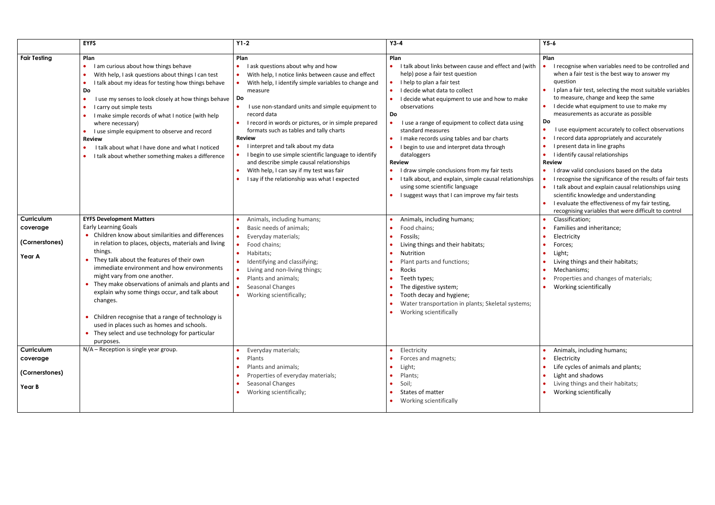|                                                    | <b>EYFS</b>                                                                                                                                                                                                                                                                                                                                                                                                                                                                                                                                                                                        | $Y1-2$                                                                                                                                                                                                                                                                                                                                                                                                                                                                                                                                                                                                  | $Y3-4$                                                                                                                                                                                                                                                                                                                                                                                                                                                                                                                                                                                                                                                               | $Y5-6$                                                                                                  |
|----------------------------------------------------|----------------------------------------------------------------------------------------------------------------------------------------------------------------------------------------------------------------------------------------------------------------------------------------------------------------------------------------------------------------------------------------------------------------------------------------------------------------------------------------------------------------------------------------------------------------------------------------------------|---------------------------------------------------------------------------------------------------------------------------------------------------------------------------------------------------------------------------------------------------------------------------------------------------------------------------------------------------------------------------------------------------------------------------------------------------------------------------------------------------------------------------------------------------------------------------------------------------------|----------------------------------------------------------------------------------------------------------------------------------------------------------------------------------------------------------------------------------------------------------------------------------------------------------------------------------------------------------------------------------------------------------------------------------------------------------------------------------------------------------------------------------------------------------------------------------------------------------------------------------------------------------------------|---------------------------------------------------------------------------------------------------------|
| <b>Fair Testing</b>                                | Plan<br>I am curious about how things behave<br>$\bullet$<br>With help, I ask questions about things I can test<br>I talk about my ideas for testing how things behave<br>Do<br>I use my senses to look closely at how things behave<br>I carry out simple tests<br>I make simple records of what I notice (with help<br>where necessary)<br>I use simple equipment to observe and record<br><b>Review</b><br>I talk about what I have done and what I noticed<br>I talk about whether something makes a difference                                                                                | Plan<br>I ask questions about why and how<br>With help, I notice links between cause and effect<br>With help, I identify simple variables to change and<br>measure<br>Do<br>I use non-standard units and simple equipment to<br>record data<br>I record in words or pictures, or in simple prepared<br>formats such as tables and tally charts<br><b>Review</b><br>I interpret and talk about my data<br>I begin to use simple scientific language to identify<br>and describe simple causal relationships<br>With help, I can say if my test was fair<br>I say if the relationship was what I expected | Plan<br>I talk about links between cause and effect and (with<br>help) pose a fair test question<br>I help to plan a fair test<br>$\bullet$<br>I decide what data to collect<br>$\bullet$<br>I decide what equipment to use and how to make<br>observations<br>Do<br>I use a range of equipment to collect data using<br>standard measures<br>I make records using tables and bar charts<br>I begin to use and interpret data through<br>dataloggers<br><b>Review</b><br>I draw simple conclusions from my fair tests<br>I talk about, and explain, simple causal relationships<br>using some scientific language<br>I suggest ways that I can improve my fair tests | Plan<br>$\bullet$<br>Do<br>$\bullet$<br><b>Revi</b><br>$\bullet$<br>$\bullet$<br>$\bullet$<br>$\bullet$ |
| Curriculum<br>coverage<br>(Cornerstones)<br>Year A | <b>EYFS Development Matters</b><br><b>Early Learning Goals</b><br>Children know about similarities and differences<br>in relation to places, objects, materials and living<br>things.<br>They talk about the features of their own<br>immediate environment and how environments<br>might vary from one another.<br>They make observations of animals and plants and<br>explain why some things occur, and talk about<br>changes.<br>• Children recognise that a range of technology is<br>used in places such as homes and schools.<br>They select and use technology for particular<br>purposes. | Animals, including humans;<br>Basic needs of animals;<br>Everyday materials;<br>Food chains;<br>Habitats;<br>$\bullet$<br>Identifying and classifying;<br>Living and non-living things;<br>Plants and animals;<br>Seasonal Changes<br>Working scientifically;                                                                                                                                                                                                                                                                                                                                           | Animals, including humans;<br>Food chains;<br>Fossils;<br>Living things and their habitats;<br>Nutrition<br>Plant parts and functions;<br>Rocks<br>Teeth types;<br>The digestive system;<br>Tooth decay and hygiene;<br>Water transportation in plants; Skeletal systems;<br>Working scientifically<br>$\bullet$                                                                                                                                                                                                                                                                                                                                                     |                                                                                                         |
| Curriculum<br>coverage<br>(Cornerstones)<br>Year B | N/A - Reception is single year group.                                                                                                                                                                                                                                                                                                                                                                                                                                                                                                                                                              | Everyday materials;<br>Plants<br>Plants and animals;<br>Properties of everyday materials;<br>Seasonal Changes<br>Working scientifically;                                                                                                                                                                                                                                                                                                                                                                                                                                                                | Electricity<br>$\bullet$<br>Forces and magnets;<br>Light;<br>Plants;<br>Soil;<br>States of matter<br>Working scientifically                                                                                                                                                                                                                                                                                                                                                                                                                                                                                                                                          | $\bullet$<br>$\bullet$ \                                                                                |

| $Y5-6$ |                                                                                                                   |
|--------|-------------------------------------------------------------------------------------------------------------------|
|        |                                                                                                                   |
| Plan   |                                                                                                                   |
|        | I recognise when variables need to be controlled and<br>when a fair test is the best way to answer my<br>question |
|        | I plan a fair test, selecting the most suitable variables<br>to measure, change and keep the same                 |
|        | I decide what equipment to use to make my<br>measurements as accurate as possible                                 |
| Do     |                                                                                                                   |
|        | I use equipment accurately to collect observations                                                                |
|        | I record data appropriately and accurately                                                                        |
|        | I present data in line graphs                                                                                     |
|        | I identify causal relationships                                                                                   |
|        | <b>Review</b>                                                                                                     |
|        | I draw valid conclusions based on the data                                                                        |
|        | I recognise the significance of the results of fair tests                                                         |
|        | I talk about and explain causal relationships using<br>scientific knowledge and understanding                     |
|        | I evaluate the effectiveness of my fair testing,                                                                  |
|        | recognising variables that were difficult to control                                                              |
|        | Classification;                                                                                                   |
|        | Families and inheritance;                                                                                         |
|        | Electricity                                                                                                       |
|        | Forces;                                                                                                           |
|        | Light;                                                                                                            |
|        | Living things and their habitats;                                                                                 |
|        | Mechanisms;                                                                                                       |

- **•** Properties and changes of materials;
- **•** Working scientifically

- **Animals, including humans;**
- Electricity
- **.** Life cycles of animals and plants;
- Light and shadows
- Living things and their habitats;
- Working scientifically